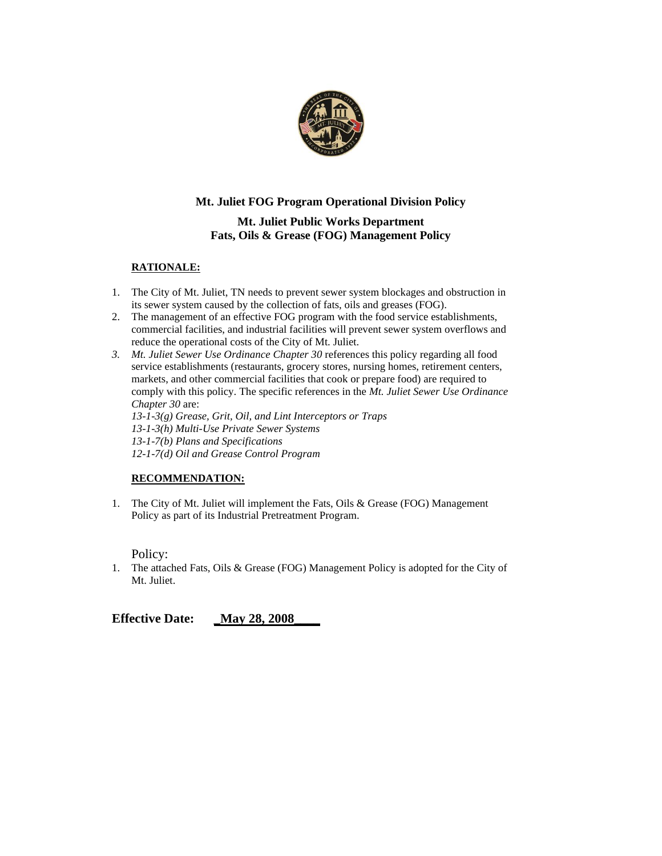

### **Mt. Juliet FOG Program Operational Division Policy**

### **Mt. Juliet Public Works Department Fats, Oils & Grease (FOG) Management Policy**

### **RATIONALE:**

- 1. The City of Mt. Juliet, TN needs to prevent sewer system blockages and obstruction in its sewer system caused by the collection of fats, oils and greases (FOG).
- 2. The management of an effective FOG program with the food service establishments, commercial facilities, and industrial facilities will prevent sewer system overflows and reduce the operational costs of the City of Mt. Juliet.
- *3. Mt. Juliet Sewer Use Ordinance Chapter 30* references this policy regarding all food service establishments (restaurants, grocery stores, nursing homes, retirement centers, markets, and other commercial facilities that cook or prepare food) are required to comply with this policy. The specific references in the *Mt. Juliet Sewer Use Ordinance Chapter 30* are:

*13-1-3(g) Grease, Grit, Oil, and Lint Interceptors or Traps 13-1-3(h) Multi-Use Private Sewer Systems 13-1-7(b) Plans and Specifications 12-1-7(d) Oil and Grease Control Program*

#### **RECOMMENDATION:**

1. The City of Mt. Juliet will implement the Fats, Oils & Grease (FOG) Management Policy as part of its Industrial Pretreatment Program.

Policy:

1. The attached Fats, Oils & Grease (FOG) Management Policy is adopted for the City of Mt. Juliet.

**Effective Date:** \_\_May 28, 2008\_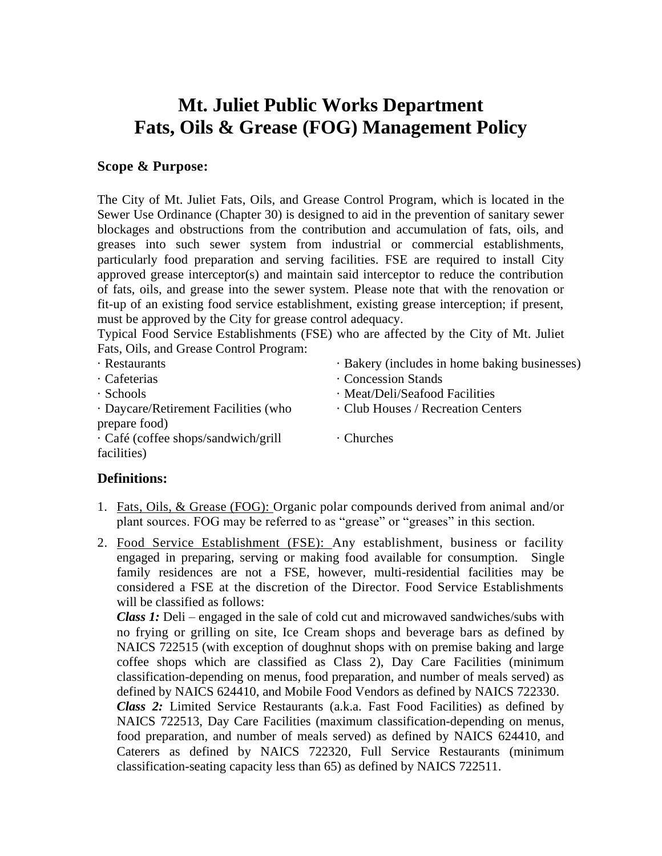# **Mt. Juliet Public Works Department Fats, Oils & Grease (FOG) Management Policy**

### **Scope & Purpose:**

The City of Mt. Juliet Fats, Oils, and Grease Control Program, which is located in the Sewer Use Ordinance (Chapter 30) is designed to aid in the prevention of sanitary sewer blockages and obstructions from the contribution and accumulation of fats, oils, and greases into such sewer system from industrial or commercial establishments, particularly food preparation and serving facilities. FSE are required to install City approved grease interceptor(s) and maintain said interceptor to reduce the contribution of fats, oils, and grease into the sewer system. Please note that with the renovation or fit-up of an existing food service establishment, existing grease interception; if present, must be approved by the City for grease control adequacy.

Typical Food Service Establishments (FSE) who are affected by the City of Mt. Juliet Fats, Oils, and Grease Control Program:

| · Restaurants                             | · Bakery (includes in home baking businesses) |
|-------------------------------------------|-----------------------------------------------|
| · Cafeterias                              | Concession Stands                             |
| $\cdot$ Schools                           | · Meat/Deli/Seafood Facilities                |
| · Daycare/Retirement Facilities (who      | • Club Houses / Recreation Centers            |
| prepare food)                             |                                               |
| $\cdot$ Café (coffee shops/sandwich/grill | $\cdot$ Churches                              |
| facilities)                               |                                               |

### **Definitions:**

- 1. Fats, Oils, & Grease (FOG): Organic polar compounds derived from animal and/or plant sources. FOG may be referred to as "grease" or "greases" in this section.
- 2. Food Service Establishment (FSE): Any establishment, business or facility engaged in preparing, serving or making food available for consumption. Single family residences are not a FSE, however, multi-residential facilities may be considered a FSE at the discretion of the Director. Food Service Establishments will be classified as follows:

*Class 1:* Deli – engaged in the sale of cold cut and microwaved sandwiches/subs with no frying or grilling on site, Ice Cream shops and beverage bars as defined by NAICS 722515 (with exception of doughnut shops with on premise baking and large coffee shops which are classified as Class 2), Day Care Facilities (minimum classification-depending on menus, food preparation, and number of meals served) as defined by NAICS 624410, and Mobile Food Vendors as defined by NAICS 722330. *Class 2:* Limited Service Restaurants (a.k.a. Fast Food Facilities) as defined by NAICS 722513, Day Care Facilities (maximum classification-depending on menus, food preparation, and number of meals served) as defined by NAICS 624410, and Caterers as defined by NAICS 722320, Full Service Restaurants (minimum classification-seating capacity less than 65) as defined by NAICS 722511.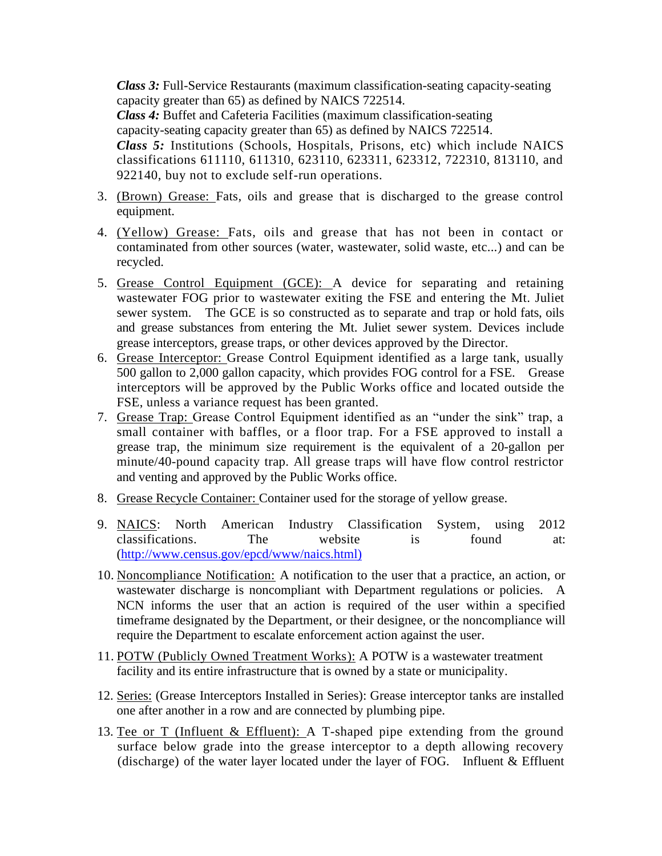*Class 3:* Full-Service Restaurants (maximum classification-seating capacity-seating capacity greater than 65) as defined by NAICS 722514.

*Class 4:* Buffet and Cafeteria Facilities (maximum classification-seating capacity-seating capacity greater than 65) as defined by NAICS 722514. *Class 5:* Institutions (Schools, Hospitals, Prisons, etc) which include NAICS classifications 611110, 611310, 623110, 623311, 623312, 722310, 813110, and 922140, buy not to exclude self-run operations.

- 3. (Brown) Grease: Fats, oils and grease that is discharged to the grease control equipment.
- 4. (Yellow) Grease: Fats, oils and grease that has not been in contact or contaminated from other sources (water, wastewater, solid waste, etc...) and can be recycled.
- 5. Grease Control Equipment (GCE): A device for separating and retaining wastewater FOG prior to wastewater exiting the FSE and entering the Mt. Juliet sewer system. The GCE is so constructed as to separate and trap or hold fats, oils and grease substances from entering the Mt. Juliet sewer system. Devices include grease interceptors, grease traps, or other devices approved by the Director.
- 6. Grease Interceptor: Grease Control Equipment identified as a large tank, usually 500 gallon to 2,000 gallon capacity, which provides FOG control for a FSE. Grease interceptors will be approved by the Public Works office and located outside the FSE, unless a variance request has been granted.
- 7. Grease Trap: Grease Control Equipment identified as an "under the sink" trap, a small container with baffles, or a floor trap. For a FSE approved to install a grease trap, the minimum size requirement is the equivalent of a 20-gallon per minute/40-pound capacity trap. All grease traps will have flow control restrictor and venting and approved by the Public Works office.
- 8. Grease Recycle Container: Container used for the storage of yellow grease.
- 9. NAICS: North American Industry Classification System, using 2012 classifications. The website is found at: [\(http://www.census.gov/epcd/www/naics.html\)](http://www.census.gov/epcd/www/naics.html))
- 10. Noncompliance Notification: A notification to the user that a practice, an action, or wastewater discharge is noncompliant with Department regulations or policies. A NCN informs the user that an action is required of the user within a specified timeframe designated by the Department, or their designee, or the noncompliance will require the Department to escalate enforcement action against the user.
- 11. POTW (Publicly Owned Treatment Works): A POTW is a wastewater treatment facility and its entire infrastructure that is owned by a state or municipality.
- 12. Series: (Grease Interceptors Installed in Series): Grease interceptor tanks are installed one after another in a row and are connected by plumbing pipe.
- 13. Tee or T (Influent & Effluent): A T-shaped pipe extending from the ground surface below grade into the grease interceptor to a depth allowing recovery (discharge) of the water layer located under the layer of FOG. Influent & Effluent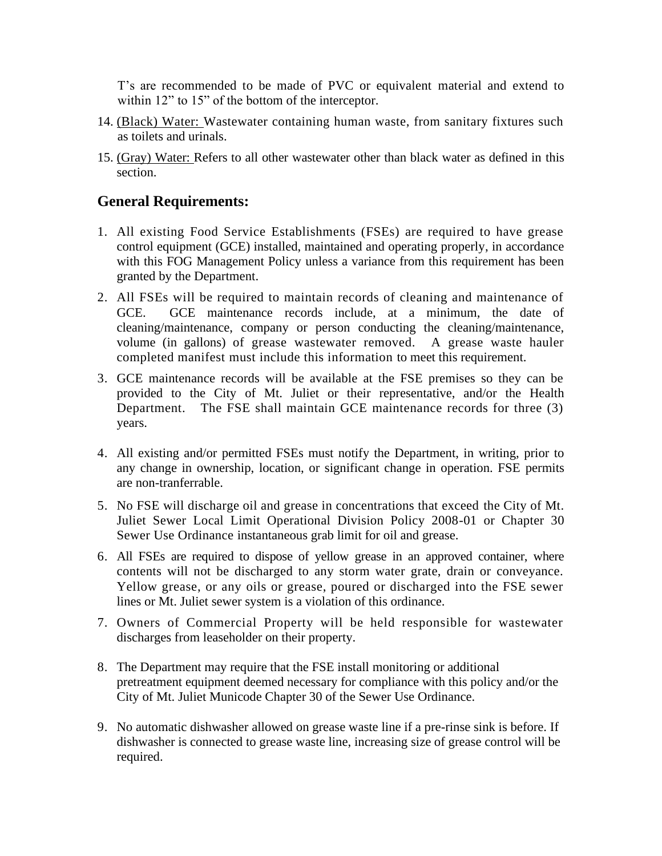T's are recommended to be made of PVC or equivalent material and extend to within 12" to 15" of the bottom of the interceptor.

- 14. (Black) Water: Wastewater containing human waste, from sanitary fixtures such as toilets and urinals.
- 15. (Gray) Water: Refers to all other wastewater other than black water as defined in this section.

## **General Requirements:**

- 1. All existing Food Service Establishments (FSEs) are required to have grease control equipment (GCE) installed, maintained and operating properly, in accordance with this FOG Management Policy unless a variance from this requirement has been granted by the Department.
- 2. All FSEs will be required to maintain records of cleaning and maintenance of GCE. GCE maintenance records include, at a minimum, the date of cleaning/maintenance, company or person conducting the cleaning/maintenance, volume (in gallons) of grease wastewater removed. A grease waste hauler completed manifest must include this information to meet this requirement.
- 3. GCE maintenance records will be available at the FSE premises so they can be provided to the City of Mt. Juliet or their representative, and/or the Health Department. The FSE shall maintain GCE maintenance records for three (3) years.
- 4. All existing and/or permitted FSEs must notify the Department, in writing, prior to any change in ownership, location, or significant change in operation. FSE permits are non-tranferrable.
- 5. No FSE will discharge oil and grease in concentrations that exceed the City of Mt. Juliet Sewer Local Limit Operational Division Policy 2008-01 or Chapter 30 Sewer Use Ordinance instantaneous grab limit for oil and grease.
- 6. All FSEs are required to dispose of yellow grease in an approved container, where contents will not be discharged to any storm water grate, drain or conveyance. Yellow grease, or any oils or grease, poured or discharged into the FSE sewer lines or Mt. Juliet sewer system is a violation of this ordinance.
- 7. Owners of Commercial Property will be held responsible for wastewater discharges from leaseholder on their property.
- 8. The Department may require that the FSE install monitoring or additional pretreatment equipment deemed necessary for compliance with this policy and/or the City of Mt. Juliet Municode Chapter 30 of the Sewer Use Ordinance.
- 9. No automatic dishwasher allowed on grease waste line if a pre-rinse sink is before. If dishwasher is connected to grease waste line, increasing size of grease control will be required.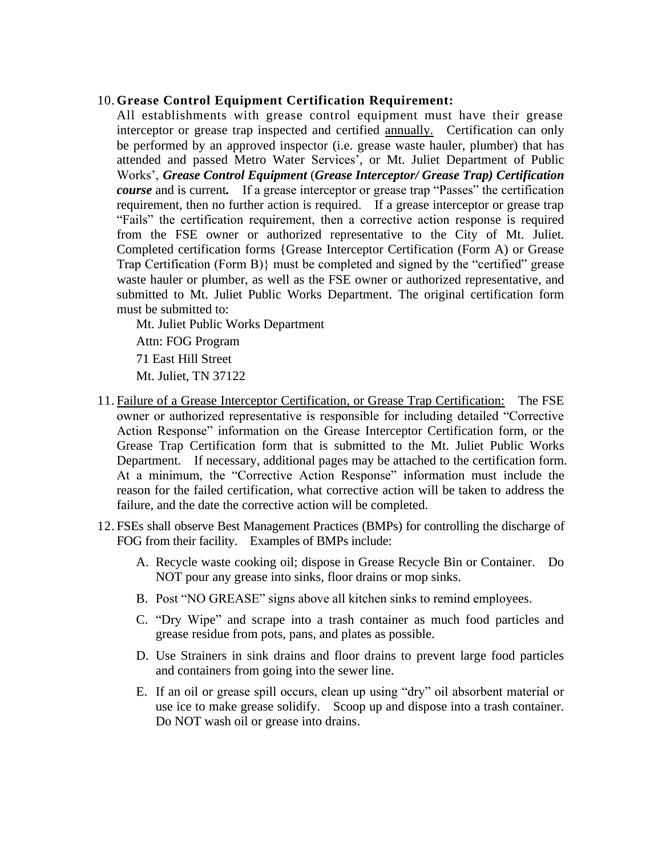### 10. **Grease Control Equipment Certification Requirement:**

All establishments with grease control equipment must have their grease interceptor or grease trap inspected and certified annually. Certification can only be performed by an approved inspector (i.e. grease waste hauler, plumber) that has attended and passed Metro Water Services', or Mt. Juliet Department of Public Works', *Grease Control Equipment* (*Grease Interceptor/ Grease Trap) Certification course* and is current*.* If a grease interceptor or grease trap "Passes" the certification requirement, then no further action is required. If a grease interceptor or grease trap "Fails" the certification requirement, then a corrective action response is required from the FSE owner or authorized representative to the City of Mt. Juliet*.* Completed certification forms {Grease Interceptor Certification (Form A) or Grease Trap Certification (Form B)} must be completed and signed by the "certified" grease waste hauler or plumber, as well as the FSE owner or authorized representative, and submitted to Mt. Juliet Public Works Department. The original certification form must be submitted to:

Mt. Juliet Public Works Department

Attn: FOG Program

71 East Hill Street

Mt. Juliet, TN 37122

- 11. Failure of a Grease Interceptor Certification, or Grease Trap Certification: The FSE owner or authorized representative is responsible for including detailed "Corrective Action Response" information on the Grease Interceptor Certification form, or the Grease Trap Certification form that is submitted to the Mt. Juliet Public Works Department. If necessary, additional pages may be attached to the certification form. At a minimum, the "Corrective Action Response" information must include the reason for the failed certification, what corrective action will be taken to address the failure, and the date the corrective action will be completed.
- 12. FSEs shall observe Best Management Practices (BMPs) for controlling the discharge of FOG from their facility. Examples of BMPs include:
	- A. Recycle waste cooking oil; dispose in Grease Recycle Bin or Container. Do NOT pour any grease into sinks, floor drains or mop sinks.
	- B. Post "NO GREASE" signs above all kitchen sinks to remind employees.
	- C. "Dry Wipe" and scrape into a trash container as much food particles and grease residue from pots, pans, and plates as possible.
	- D. Use Strainers in sink drains and floor drains to prevent large food particles and containers from going into the sewer line.
	- E. If an oil or grease spill occurs, clean up using "dry" oil absorbent material or use ice to make grease solidify. Scoop up and dispose into a trash container. Do NOT wash oil or grease into drains.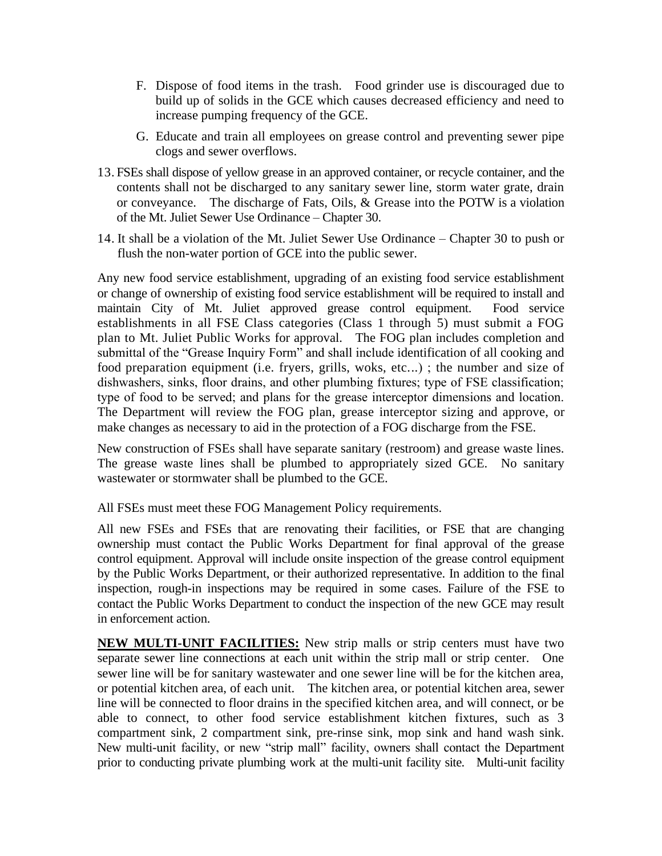- F. Dispose of food items in the trash. Food grinder use is discouraged due to build up of solids in the GCE which causes decreased efficiency and need to increase pumping frequency of the GCE.
- G. Educate and train all employees on grease control and preventing sewer pipe clogs and sewer overflows.
- 13. FSEs shall dispose of yellow grease in an approved container, or recycle container, and the contents shall not be discharged to any sanitary sewer line, storm water grate, drain or conveyance. The discharge of Fats, Oils, & Grease into the POTW is a violation of the Mt. Juliet Sewer Use Ordinance – Chapter 30.
- 14. It shall be a violation of the Mt. Juliet Sewer Use Ordinance Chapter 30 to push or flush the non-water portion of GCE into the public sewer.

Any new food service establishment, upgrading of an existing food service establishment or change of ownership of existing food service establishment will be required to install and maintain City of Mt. Juliet approved grease control equipment. Food service establishments in all FSE Class categories (Class 1 through 5) must submit a FOG plan to Mt. Juliet Public Works for approval. The FOG plan includes completion and submittal of the "Grease Inquiry Form" and shall include identification of all cooking and food preparation equipment (i.e. fryers, grills, woks, etc...) ; the number and size of dishwashers, sinks, floor drains, and other plumbing fixtures; type of FSE classification; type of food to be served; and plans for the grease interceptor dimensions and location. The Department will review the FOG plan, grease interceptor sizing and approve, or make changes as necessary to aid in the protection of a FOG discharge from the FSE.

New construction of FSEs shall have separate sanitary (restroom) and grease waste lines. The grease waste lines shall be plumbed to appropriately sized GCE. No sanitary wastewater or stormwater shall be plumbed to the GCE.

All FSEs must meet these FOG Management Policy requirements.

All new FSEs and FSEs that are renovating their facilities, or FSE that are changing ownership must contact the Public Works Department for final approval of the grease control equipment. Approval will include onsite inspection of the grease control equipment by the Public Works Department, or their authorized representative. In addition to the final inspection, rough-in inspections may be required in some cases. Failure of the FSE to contact the Public Works Department to conduct the inspection of the new GCE may result in enforcement action.

**NEW MULTI-UNIT FACILITIES:** New strip malls or strip centers must have two separate sewer line connections at each unit within the strip mall or strip center. One sewer line will be for sanitary wastewater and one sewer line will be for the kitchen area, or potential kitchen area, of each unit. The kitchen area, or potential kitchen area, sewer line will be connected to floor drains in the specified kitchen area, and will connect, or be able to connect, to other food service establishment kitchen fixtures, such as 3 compartment sink, 2 compartment sink, pre-rinse sink, mop sink and hand wash sink. New multi-unit facility, or new "strip mall" facility, owners shall contact the Department prior to conducting private plumbing work at the multi-unit facility site. Multi-unit facility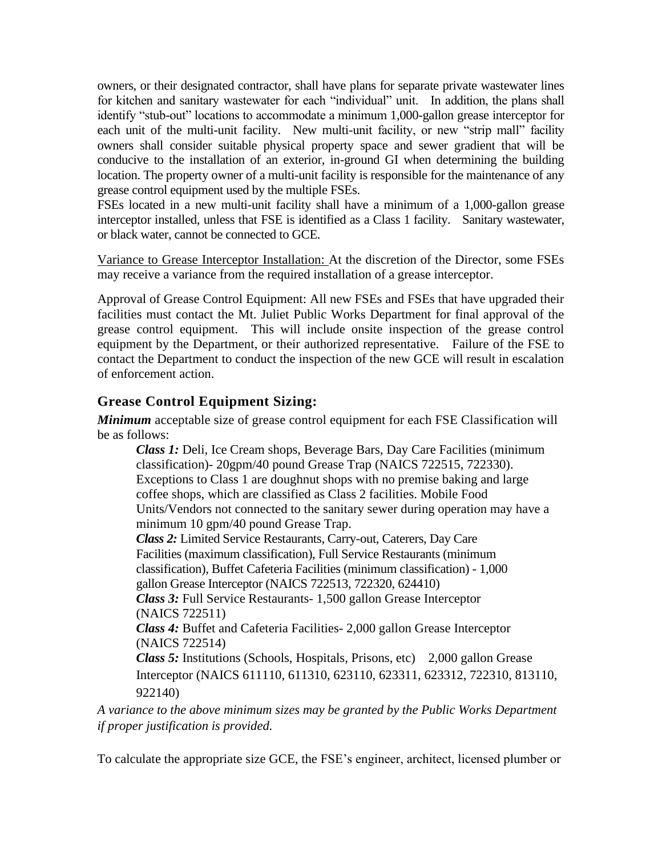owners, or their designated contractor, shall have plans for separate private wastewater lines for kitchen and sanitary wastewater for each "individual" unit. In addition, the plans shall identify "stub-out" locations to accommodate a minimum 1,000-gallon grease interceptor for each unit of the multi-unit facility. New multi-unit facility, or new "strip mall" facility owners shall consider suitable physical property space and sewer gradient that will be conducive to the installation of an exterior, in-ground GI when determining the building location. The property owner of a multi-unit facility is responsible for the maintenance of any grease control equipment used by the multiple FSEs.

FSEs located in a new multi-unit facility shall have a minimum of a 1,000-gallon grease interceptor installed, unless that FSE is identified as a Class 1 facility. Sanitary wastewater, or black water, cannot be connected to GCE.

Variance to Grease Interceptor Installation: At the discretion of the Director, some FSEs may receive a variance from the required installation of a grease interceptor.

Approval of Grease Control Equipment: All new FSEs and FSEs that have upgraded their facilities must contact the Mt. Juliet Public Works Department for final approval of the grease control equipment. This will include onsite inspection of the grease control equipment by the Department, or their authorized representative. Failure of the FSE to contact the Department to conduct the inspection of the new GCE will result in escalation of enforcement action.

## **Grease Control Equipment Sizing:**

*Minimum* acceptable size of grease control equipment for each FSE Classification will be as follows:

*Class 1:* Deli, Ice Cream shops, Beverage Bars, Day Care Facilities (minimum classification)- 20gpm/40 pound Grease Trap (NAICS 722515, 722330). Exceptions to Class 1 are doughnut shops with no premise baking and large coffee shops, which are classified as Class 2 facilities. Mobile Food Units/Vendors not connected to the sanitary sewer during operation may have a minimum 10 gpm/40 pound Grease Trap.

*Class 2:* Limited Service Restaurants, Carry-out, Caterers, Day Care Facilities (maximum classification), Full Service Restaurants (minimum classification), Buffet Cafeteria Facilities (minimum classification) - 1,000 gallon Grease Interceptor (NAICS 722513, 722320, 624410)

*Class 3:* Full Service Restaurants- 1,500 gallon Grease Interceptor (NAICS 722511)

*Class 4:* Buffet and Cafeteria Facilities- 2,000 gallon Grease Interceptor (NAICS 722514)

*Class 5:* Institutions (Schools, Hospitals, Prisons, etc) 2,000 gallon Grease Interceptor (NAICS 611110, 611310, 623110, 623311, 623312, 722310, 813110, 922140)

*A variance to the above minimum sizes may be granted by the Public Works Department if proper justification is provided.*

To calculate the appropriate size GCE, the FSE's engineer, architect, licensed plumber or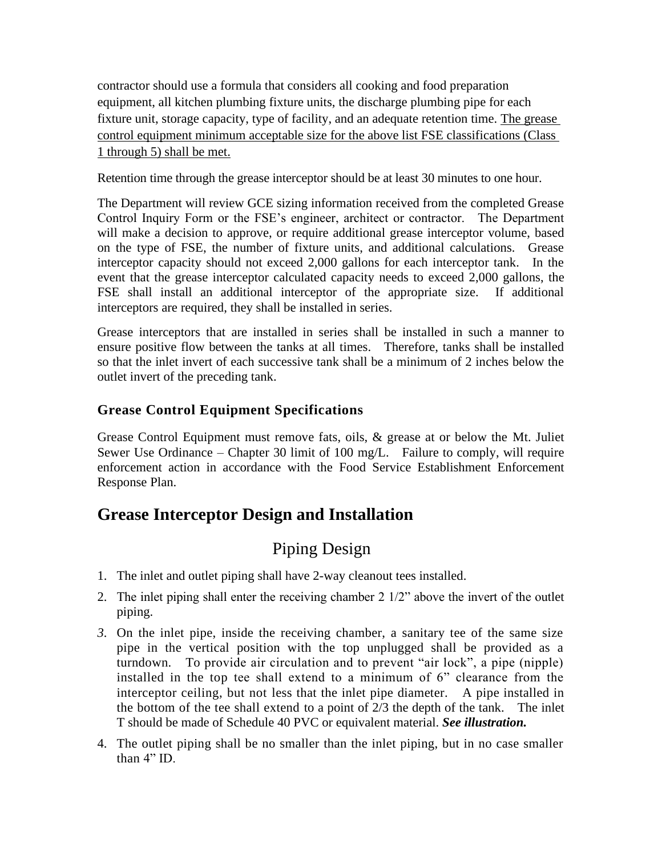contractor should use a formula that considers all cooking and food preparation equipment, all kitchen plumbing fixture units, the discharge plumbing pipe for each fixture unit, storage capacity, type of facility, and an adequate retention time. The grease control equipment minimum acceptable size for the above list FSE classifications (Class 1 through 5) shall be met.

Retention time through the grease interceptor should be at least 30 minutes to one hour.

The Department will review GCE sizing information received from the completed Grease Control Inquiry Form or the FSE's engineer, architect or contractor. The Department will make a decision to approve, or require additional grease interceptor volume, based on the type of FSE, the number of fixture units, and additional calculations. Grease interceptor capacity should not exceed 2,000 gallons for each interceptor tank. In the event that the grease interceptor calculated capacity needs to exceed 2,000 gallons, the FSE shall install an additional interceptor of the appropriate size. If additional interceptors are required, they shall be installed in series.

Grease interceptors that are installed in series shall be installed in such a manner to ensure positive flow between the tanks at all times. Therefore, tanks shall be installed so that the inlet invert of each successive tank shall be a minimum of 2 inches below the outlet invert of the preceding tank.

### **Grease Control Equipment Specifications**

Grease Control Equipment must remove fats, oils, & grease at or below the Mt. Juliet Sewer Use Ordinance – Chapter 30 limit of 100 mg/L. Failure to comply, will require enforcement action in accordance with the Food Service Establishment Enforcement Response Plan.

## **Grease Interceptor Design and Installation**

# Piping Design

- 1. The inlet and outlet piping shall have 2-way cleanout tees installed.
- 2. The inlet piping shall enter the receiving chamber 2 1/2" above the invert of the outlet piping.
- *3.* On the inlet pipe, inside the receiving chamber, a sanitary tee of the same size pipe in the vertical position with the top unplugged shall be provided as a turndown. To provide air circulation and to prevent "air lock", a pipe (nipple) installed in the top tee shall extend to a minimum of 6" clearance from the interceptor ceiling, but not less that the inlet pipe diameter. A pipe installed in the bottom of the tee shall extend to a point of 2/3 the depth of the tank. The inlet T should be made of Schedule 40 PVC or equivalent material. *See illustration.*
- 4. The outlet piping shall be no smaller than the inlet piping, but in no case smaller than 4" ID.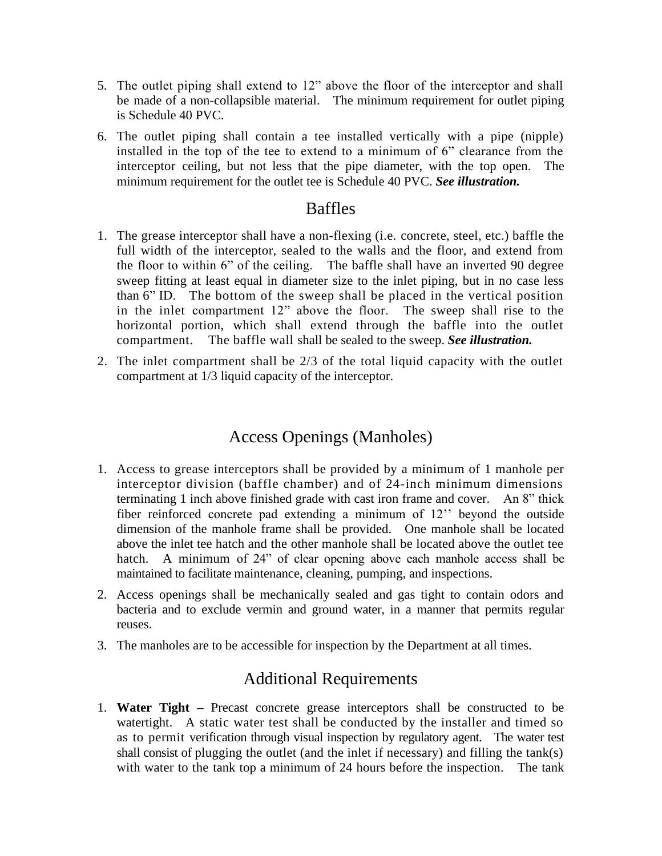- 5. The outlet piping shall extend to 12" above the floor of the interceptor and shall be made of a non-collapsible material. The minimum requirement for outlet piping is Schedule 40 PVC.
- 6. The outlet piping shall contain a tee installed vertically with a pipe (nipple) installed in the top of the tee to extend to a minimum of 6" clearance from the interceptor ceiling, but not less that the pipe diameter, with the top open. The minimum requirement for the outlet tee is Schedule 40 PVC. *See illustration.*

## Baffles

- 1. The grease interceptor shall have a non-flexing (i.e. concrete, steel, etc.) baffle the full width of the interceptor, sealed to the walls and the floor, and extend from the floor to within 6" of the ceiling. The baffle shall have an inverted 90 degree sweep fitting at least equal in diameter size to the inlet piping, but in no case less than 6" ID. The bottom of the sweep shall be placed in the vertical position in the inlet compartment 12" above the floor. The sweep shall rise to the horizontal portion, which shall extend through the baffle into the outlet compartment. The baffle wall shall be sealed to the sweep. *See illustration.*
- 2. The inlet compartment shall be 2/3 of the total liquid capacity with the outlet compartment at 1/3 liquid capacity of the interceptor.

## Access Openings (Manholes)

- 1. Access to grease interceptors shall be provided by a minimum of 1 manhole per interceptor division (baffle chamber) and of 24-inch minimum dimensions terminating 1 inch above finished grade with cast iron frame and cover. An 8" thick fiber reinforced concrete pad extending a minimum of 12'' beyond the outside dimension of the manhole frame shall be provided. One manhole shall be located above the inlet tee hatch and the other manhole shall be located above the outlet tee hatch. A minimum of 24" of clear opening above each manhole access shall be maintained to facilitate maintenance, cleaning, pumping, and inspections.
- 2. Access openings shall be mechanically sealed and gas tight to contain odors and bacteria and to exclude vermin and ground water, in a manner that permits regular reuses.
- 3. The manholes are to be accessible for inspection by the Department at all times.

## Additional Requirements

1. **Water Tight –** Precast concrete grease interceptors shall be constructed to be watertight. A static water test shall be conducted by the installer and timed so as to permit verification through visual inspection by regulatory agent. The water test shall consist of plugging the outlet (and the inlet if necessary) and filling the tank(s) with water to the tank top a minimum of 24 hours before the inspection. The tank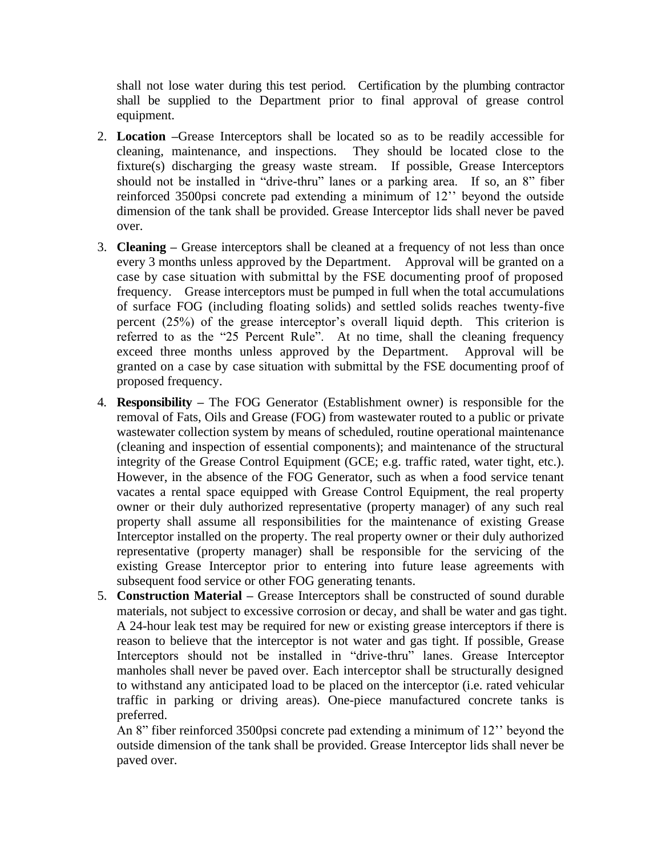shall not lose water during this test period. Certification by the plumbing contractor shall be supplied to the Department prior to final approval of grease control equipment.

- 2. **Location –**Grease Interceptors shall be located so as to be readily accessible for cleaning, maintenance, and inspections. They should be located close to the fixture(s) discharging the greasy waste stream. If possible, Grease Interceptors should not be installed in "drive-thru" lanes or a parking area. If so, an 8" fiber reinforced 3500psi concrete pad extending a minimum of 12'' beyond the outside dimension of the tank shall be provided. Grease Interceptor lids shall never be paved over.
- 3. **Cleaning –** Grease interceptors shall be cleaned at a frequency of not less than once every 3 months unless approved by the Department. Approval will be granted on a case by case situation with submittal by the FSE documenting proof of proposed frequency. Grease interceptors must be pumped in full when the total accumulations of surface FOG (including floating solids) and settled solids reaches twenty-five percent (25%) of the grease interceptor's overall liquid depth. This criterion is referred to as the "25 Percent Rule". At no time, shall the cleaning frequency exceed three months unless approved by the Department. Approval will be granted on a case by case situation with submittal by the FSE documenting proof of proposed frequency.
- 4. **Responsibility –** The FOG Generator (Establishment owner) is responsible for the removal of Fats, Oils and Grease (FOG) from wastewater routed to a public or private wastewater collection system by means of scheduled, routine operational maintenance (cleaning and inspection of essential components); and maintenance of the structural integrity of the Grease Control Equipment (GCE; e.g. traffic rated, water tight, etc.). However, in the absence of the FOG Generator, such as when a food service tenant vacates a rental space equipped with Grease Control Equipment, the real property owner or their duly authorized representative (property manager) of any such real property shall assume all responsibilities for the maintenance of existing Grease Interceptor installed on the property. The real property owner or their duly authorized representative (property manager) shall be responsible for the servicing of the existing Grease Interceptor prior to entering into future lease agreements with subsequent food service or other FOG generating tenants.
- 5. **Construction Material –** Grease Interceptors shall be constructed of sound durable materials, not subject to excessive corrosion or decay, and shall be water and gas tight. A 24-hour leak test may be required for new or existing grease interceptors if there is reason to believe that the interceptor is not water and gas tight. If possible, Grease Interceptors should not be installed in "drive-thru" lanes. Grease Interceptor manholes shall never be paved over. Each interceptor shall be structurally designed to withstand any anticipated load to be placed on the interceptor (i.e. rated vehicular traffic in parking or driving areas). One-piece manufactured concrete tanks is preferred.

 An 8" fiber reinforced 3500psi concrete pad extending a minimum of 12'' beyond the outside dimension of the tank shall be provided. Grease Interceptor lids shall never be paved over.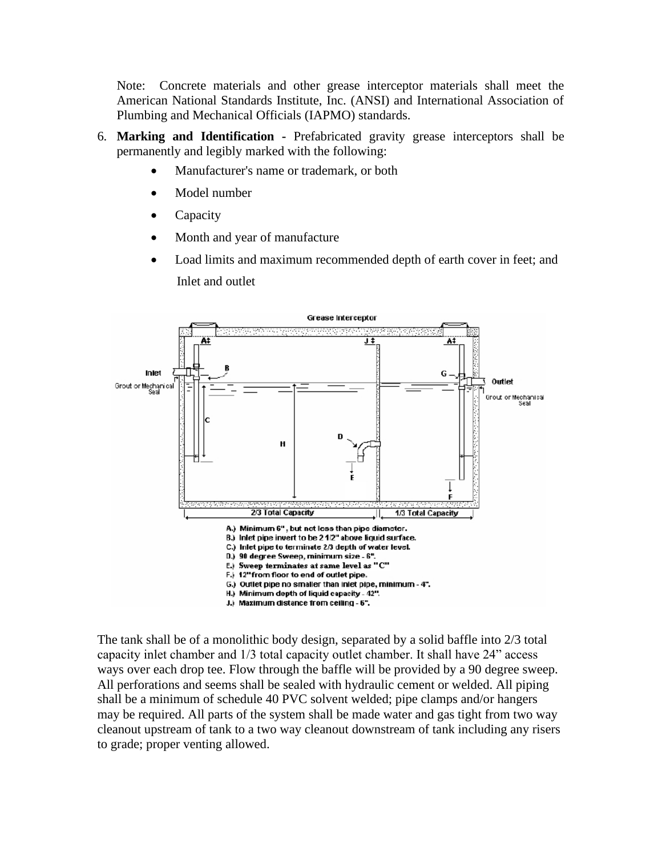Note: Concrete materials and other grease interceptor materials shall meet the American National Standards Institute, Inc. (ANSI) and International Association of Plumbing and Mechanical Officials (IAPMO) standards.

- 6. **Marking and Identification -** Prefabricated gravity grease interceptors shall be permanently and legibly marked with the following:
	- Manufacturer's name or trademark, or both
	- Model number
	- Capacity
	- Month and year of manufacture
	- Load limits and maximum recommended depth of earth cover in feet; and Inlet and outlet



The tank shall be of a monolithic body design, separated by a solid baffle into 2/3 total capacity inlet chamber and 1/3 total capacity outlet chamber. It shall have 24" access ways over each drop tee. Flow through the baffle will be provided by a 90 degree sweep. All perforations and seems shall be sealed with hydraulic cement or welded. All piping shall be a minimum of schedule 40 PVC solvent welded; pipe clamps and/or hangers may be required. All parts of the system shall be made water and gas tight from two way cleanout upstream of tank to a two way cleanout downstream of tank including any risers to grade; proper venting allowed.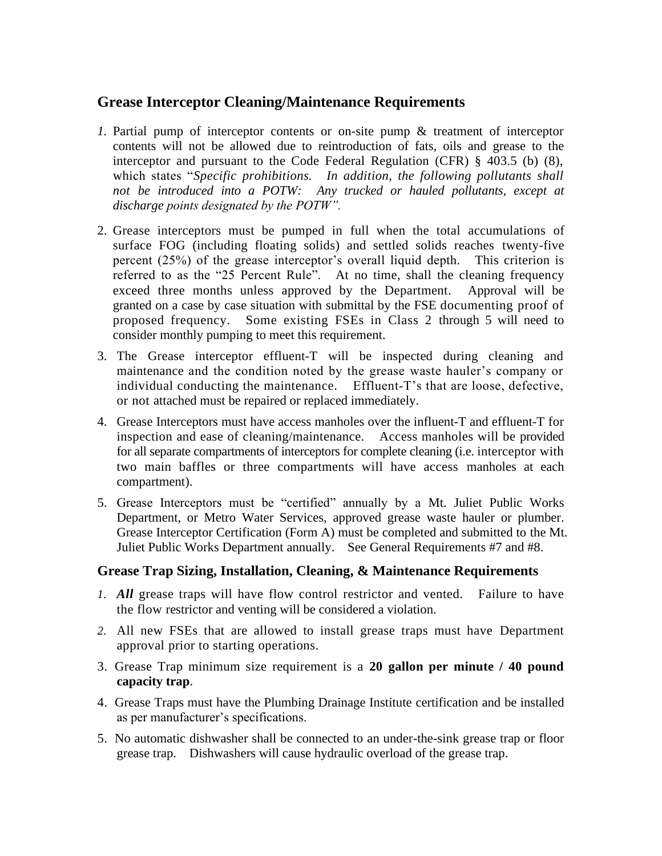## **Grease Interceptor Cleaning/Maintenance Requirements**

- *1.* Partial pump of interceptor contents or on-site pump & treatment of interceptor contents will not be allowed due to reintroduction of fats, oils and grease to the interceptor and pursuant to the Code Federal Regulation (CFR) § 403.5 (b) (8), which states "*Specific prohibitions. In addition, the following pollutants shall*  not be introduced into a POTW: Any trucked or hauled pollutants, except at *discharge points designated by the POTW".*
- 2. Grease interceptors must be pumped in full when the total accumulations of surface FOG (including floating solids) and settled solids reaches twenty-five percent (25%) of the grease interceptor's overall liquid depth. This criterion is referred to as the "25 Percent Rule". At no time, shall the cleaning frequency exceed three months unless approved by the Department. Approval will be granted on a case by case situation with submittal by the FSE documenting proof of proposed frequency. Some existing FSEs in Class 2 through 5 will need to consider monthly pumping to meet this requirement.
- 3. The Grease interceptor effluent-T will be inspected during cleaning and maintenance and the condition noted by the grease waste hauler's company or individual conducting the maintenance. Effluent-T's that are loose, defective, or not attached must be repaired or replaced immediately.
- 4. Grease Interceptors must have access manholes over the influent-T and effluent-T for inspection and ease of cleaning/maintenance. Access manholes will be provided for all separate compartments of interceptors for complete cleaning (i.e. interceptor with two main baffles or three compartments will have access manholes at each compartment).
- 5. Grease Interceptors must be "certified" annually by a Mt. Juliet Public Works Department, or Metro Water Services, approved grease waste hauler or plumber. Grease Interceptor Certification (Form A) must be completed and submitted to the Mt. Juliet Public Works Department annually. See General Requirements #7 and #8.

### **Grease Trap Sizing, Installation, Cleaning, & Maintenance Requirements**

- *1. All* grease traps will have flow control restrictor and vented. Failure to have the flow restrictor and venting will be considered a violation.
- *2.* All new FSEs that are allowed to install grease traps must have Department approval prior to starting operations.
- 3. Grease Trap minimum size requirement is a **20 gallon per minute / 40 pound capacity trap**.
- 4. Grease Traps must have the Plumbing Drainage Institute certification and be installed as per manufacturer's specifications.
- 5. No automatic dishwasher shall be connected to an under-the-sink grease trap or floor grease trap. Dishwashers will cause hydraulic overload of the grease trap.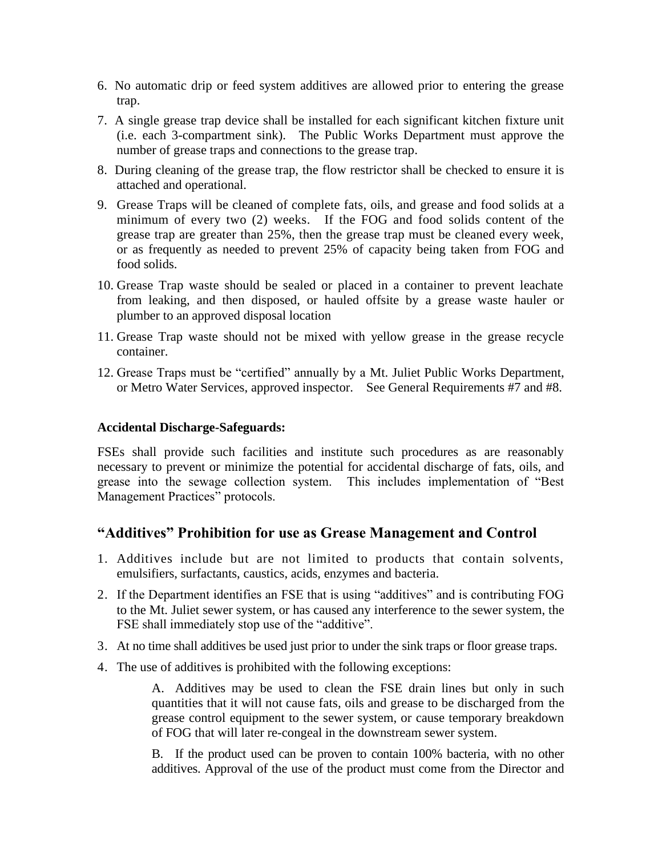- 6. No automatic drip or feed system additives are allowed prior to entering the grease trap.
- 7. A single grease trap device shall be installed for each significant kitchen fixture unit (i.e. each 3-compartment sink). The Public Works Department must approve the number of grease traps and connections to the grease trap.
- 8. During cleaning of the grease trap, the flow restrictor shall be checked to ensure it is attached and operational.
- 9. Grease Traps will be cleaned of complete fats, oils, and grease and food solids at a minimum of every two (2) weeks. If the FOG and food solids content of the grease trap are greater than 25%, then the grease trap must be cleaned every week, or as frequently as needed to prevent 25% of capacity being taken from FOG and food solids.
- 10. Grease Trap waste should be sealed or placed in a container to prevent leachate from leaking, and then disposed, or hauled offsite by a grease waste hauler or plumber to an approved disposal location
- 11. Grease Trap waste should not be mixed with yellow grease in the grease recycle container.
- 12. Grease Traps must be "certified" annually by a Mt. Juliet Public Works Department, or Metro Water Services, approved inspector. See General Requirements #7 and #8.

### **Accidental Discharge-Safeguards:**

FSEs shall provide such facilities and institute such procedures as are reasonably necessary to prevent or minimize the potential for accidental discharge of fats, oils, and grease into the sewage collection system. This includes implementation of "Best Management Practices" protocols.

### **"Additives" Prohibition for use as Grease Management and Control**

- 1. Additives include but are not limited to products that contain solvents, emulsifiers, surfactants, caustics, acids, enzymes and bacteria.
- 2. If the Department identifies an FSE that is using "additives" and is contributing FOG to the Mt. Juliet sewer system, or has caused any interference to the sewer system, the FSE shall immediately stop use of the "additive".
- 3. At no time shall additives be used just prior to under the sink traps or floor grease traps.
- 4. The use of additives is prohibited with the following exceptions:

A. Additives may be used to clean the FSE drain lines but only in such quantities that it will not cause fats, oils and grease to be discharged from the grease control equipment to the sewer system, or cause temporary breakdown of FOG that will later re-congeal in the downstream sewer system.

B. If the product used can be proven to contain 100% bacteria, with no other additives. Approval of the use of the product must come from the Director and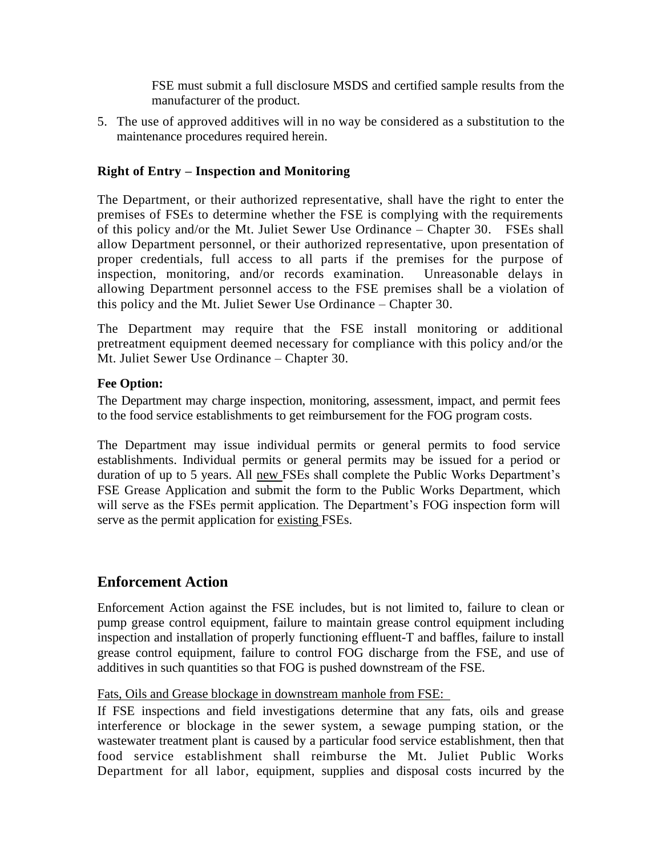FSE must submit a full disclosure MSDS and certified sample results from the manufacturer of the product.

5. The use of approved additives will in no way be considered as a substitution to the maintenance procedures required herein.

### **Right of Entry – Inspection and Monitoring**

The Department, or their authorized representative, shall have the right to enter the premises of FSEs to determine whether the FSE is complying with the requirements of this policy and/or the Mt. Juliet Sewer Use Ordinance – Chapter 30. FSEs shall allow Department personnel, or their authorized representative, upon presentation of proper credentials, full access to all parts if the premises for the purpose of inspection, monitoring, and/or records examination. Unreasonable delays in allowing Department personnel access to the FSE premises shall be a violation of this policy and the Mt. Juliet Sewer Use Ordinance – Chapter 30.

The Department may require that the FSE install monitoring or additional pretreatment equipment deemed necessary for compliance with this policy and/or the Mt. Juliet Sewer Use Ordinance – Chapter 30.

### **Fee Option:**

The Department may charge inspection, monitoring, assessment, impact, and permit fees to the food service establishments to get reimbursement for the FOG program costs.

The Department may issue individual permits or general permits to food service establishments. Individual permits or general permits may be issued for a period or duration of up to 5 years. All new FSEs shall complete the Public Works Department's FSE Grease Application and submit the form to the Public Works Department, which will serve as the FSEs permit application. The Department's FOG inspection form will serve as the permit application for existing FSEs.

## **Enforcement Action**

Enforcement Action against the FSE includes, but is not limited to, failure to clean or pump grease control equipment, failure to maintain grease control equipment including inspection and installation of properly functioning effluent-T and baffles, failure to install grease control equipment, failure to control FOG discharge from the FSE, and use of additives in such quantities so that FOG is pushed downstream of the FSE.

### Fats, Oils and Grease blockage in downstream manhole from FSE:

If FSE inspections and field investigations determine that any fats, oils and grease interference or blockage in the sewer system, a sewage pumping station, or the wastewater treatment plant is caused by a particular food service establishment, then that food service establishment shall reimburse the Mt. Juliet Public Works Department for all labor, equipment, supplies and disposal costs incurred by the